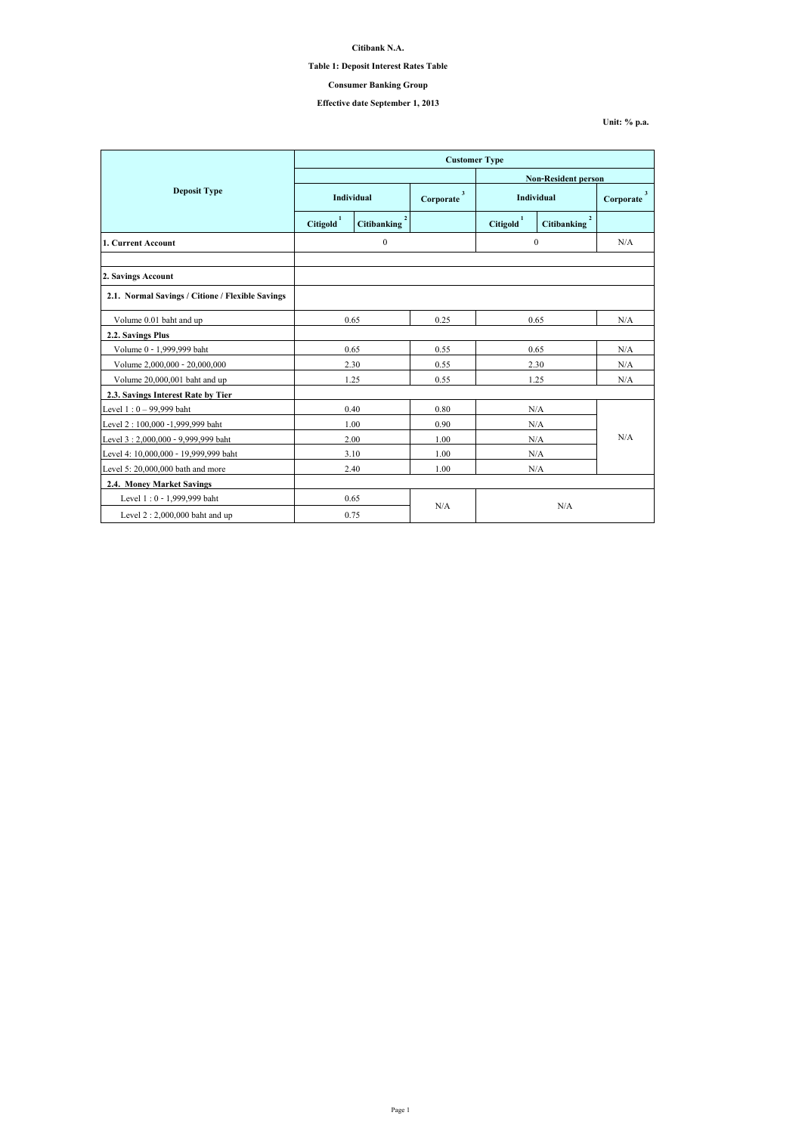**Unit: % p.a.**

|                                                  | <b>Customer Type</b>       |                                      |                           |                       |                                      |                           |  |
|--------------------------------------------------|----------------------------|--------------------------------------|---------------------------|-----------------------|--------------------------------------|---------------------------|--|
|                                                  | <b>Non-Resident person</b> |                                      |                           |                       |                                      |                           |  |
| <b>Deposit Type</b>                              | Individual                 |                                      | $\mathbf{3}$<br>Corporate | Individual            |                                      | $\mathbf{3}$<br>Corporate |  |
|                                                  | Citigold                   | 2 <sup>1</sup><br><b>Citibanking</b> |                           | Citigold <sup>1</sup> | $\overline{2}$<br><b>Citibanking</b> |                           |  |
| 1. Current Account                               |                            | $\boldsymbol{0}$                     |                           | $\mathbf{0}$          |                                      | N/A                       |  |
|                                                  |                            |                                      |                           |                       |                                      |                           |  |
| 2. Savings Account                               |                            |                                      |                           |                       |                                      |                           |  |
| 2.1. Normal Savings / Citione / Flexible Savings |                            |                                      |                           |                       |                                      |                           |  |
| Volume 0.01 baht and up                          | 0.65                       |                                      | 0.25                      | 0.65                  |                                      | N/A                       |  |
| 2.2. Savings Plus                                |                            |                                      |                           |                       |                                      |                           |  |
| Volume 0 - 1,999,999 baht                        |                            | 0.65                                 | 0.55                      | 0.65                  |                                      | N/A                       |  |
| Volume 2,000,000 - 20,000,000                    |                            | 2.30                                 | 0.55                      | 2.30                  |                                      | N/A                       |  |
| Volume 20,000,001 baht and up                    |                            | 1.25                                 | 0.55                      | 1.25                  |                                      | N/A                       |  |
| 2.3. Savings Interest Rate by Tier               |                            |                                      |                           |                       |                                      |                           |  |
| Level $1:0 - 99,999$ baht                        |                            | 0.40                                 | 0.80                      | N/A                   |                                      |                           |  |
| Level 2 : 100,000 -1,999,999 baht                |                            | 1.00                                 | 0.90                      | N/A                   |                                      |                           |  |
| Level 3 : 2,000,000 - 9,999,999 baht             |                            | 2.00                                 | 1.00                      | N/A                   |                                      | N/A                       |  |
| Level 4: 10,000,000 - 19,999,999 baht            |                            | 3.10                                 | 1.00                      | N/A                   |                                      |                           |  |
| Level 5: 20,000,000 bath and more                |                            | 2.40                                 | 1.00                      | N/A                   |                                      |                           |  |
| <b>2.4. Money Market Savings</b>                 |                            |                                      |                           |                       |                                      |                           |  |
| Level 1:0 - 1,999,999 baht                       |                            | 0.65                                 |                           |                       |                                      |                           |  |
| Level $2:2,000,000$ baht and up                  |                            | 0.75                                 | N/A                       | N/A                   |                                      |                           |  |

**Citibank N.A.**

## **Table 1: Deposit Interest Rates Table**

**Effective date September 1, 2013**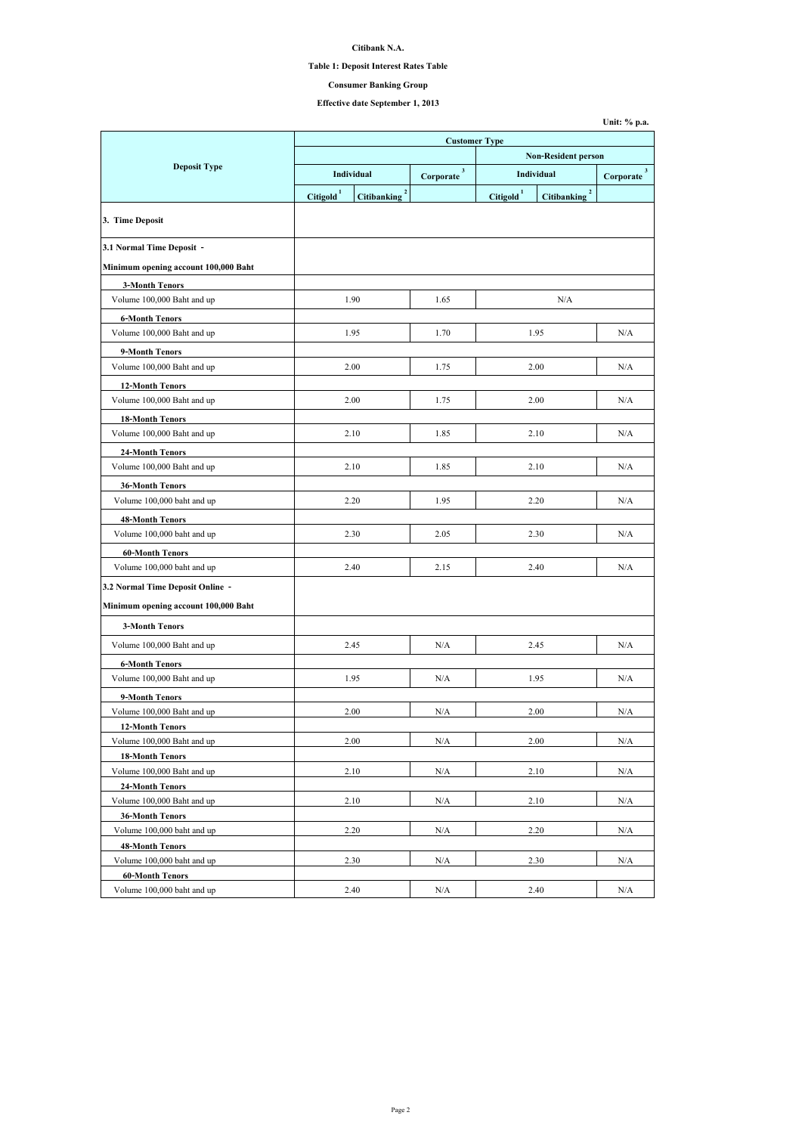## **Table 1: Deposit Interest Rates Table**

# **Effective date September 1, 2013**

|                                                      |                            |                                      | <b>Customer Type</b>      |                                 |                                    |                           |  |
|------------------------------------------------------|----------------------------|--------------------------------------|---------------------------|---------------------------------|------------------------------------|---------------------------|--|
|                                                      | <b>Non-Resident person</b> |                                      |                           |                                 |                                    |                           |  |
| <b>Deposit Type</b>                                  |                            | <b>Individual</b>                    | $\mathbf{3}$<br>Corporate | <b>Individual</b>               |                                    | $\mathbf{3}$<br>Corporate |  |
|                                                      | <b>Citigold</b>            | $\overline{2}$<br><b>Citibanking</b> |                           | $\mathbf{1}$<br><b>Citigold</b> | $\mathbf{2}$<br><b>Citibanking</b> |                           |  |
|                                                      |                            |                                      |                           |                                 |                                    |                           |  |
| 3. Time Deposit                                      |                            |                                      |                           |                                 |                                    |                           |  |
| 3.1 Normal Time Deposit -                            |                            |                                      |                           |                                 |                                    |                           |  |
| Minimum opening account 100,000 Baht                 |                            |                                      |                           |                                 |                                    |                           |  |
| <b>3-Month Tenors</b>                                |                            |                                      |                           |                                 |                                    |                           |  |
| Volume 100,000 Baht and up                           |                            | 1.90                                 | 1.65                      |                                 | N/A                                |                           |  |
| <b>6-Month Tenors</b>                                |                            |                                      |                           |                                 |                                    |                           |  |
| Volume 100,000 Baht and up                           |                            | 1.95                                 | 1.70                      |                                 | 1.95                               | N/A                       |  |
| 9-Month Tenors                                       |                            |                                      |                           |                                 |                                    |                           |  |
| Volume 100,000 Baht and up                           |                            | 2.00                                 | 1.75                      |                                 | 2.00                               | N/A                       |  |
| <b>12-Month Tenors</b>                               |                            |                                      |                           |                                 |                                    |                           |  |
| Volume 100,000 Baht and up                           |                            | 2.00                                 | 1.75                      |                                 | 2.00                               | N/A                       |  |
| <b>18-Month Tenors</b>                               |                            |                                      |                           |                                 |                                    |                           |  |
| Volume 100,000 Baht and up                           |                            | 2.10                                 | 1.85                      |                                 | 2.10                               | N/A                       |  |
| <b>24-Month Tenors</b>                               |                            |                                      |                           |                                 |                                    |                           |  |
| Volume 100,000 Baht and up                           |                            | 2.10                                 | 1.85                      |                                 | 2.10                               | N/A                       |  |
| <b>36-Month Tenors</b>                               |                            |                                      |                           |                                 |                                    |                           |  |
| Volume 100,000 baht and up                           |                            | 2.20                                 | 1.95                      |                                 | 2.20                               | N/A                       |  |
| <b>48-Month Tenors</b>                               |                            |                                      |                           |                                 |                                    |                           |  |
| Volume 100,000 baht and up                           |                            | 2.30                                 | 2.05                      |                                 | 2.30                               | N/A                       |  |
| <b>60-Month Tenors</b>                               |                            |                                      |                           |                                 |                                    |                           |  |
| Volume 100,000 baht and up                           |                            | 2.40                                 | 2.15                      |                                 | 2.40                               | N/A                       |  |
|                                                      |                            |                                      |                           |                                 |                                    |                           |  |
| 3.2 Normal Time Deposit Online -                     |                            |                                      |                           |                                 |                                    |                           |  |
| Minimum opening account 100,000 Baht                 |                            |                                      |                           |                                 |                                    |                           |  |
| <b>3-Month Tenors</b>                                |                            |                                      |                           |                                 |                                    |                           |  |
| Volume 100,000 Baht and up                           |                            | 2.45                                 | N/A                       |                                 | 2.45                               | N/A                       |  |
| <b>6-Month Tenors</b>                                |                            |                                      |                           |                                 |                                    |                           |  |
| Volume 100,000 Baht and up                           |                            | 1.95                                 | N/A                       |                                 | 1.95                               | N/A                       |  |
| 9-Month Tenors                                       |                            |                                      |                           |                                 |                                    |                           |  |
| Volume 100,000 Baht and up                           |                            | 2.00                                 | N/A                       |                                 | 2.00                               | N/A                       |  |
| <b>12-Month Tenors</b>                               |                            |                                      |                           |                                 |                                    |                           |  |
| Volume 100,000 Baht and up                           |                            | 2.00                                 | N/A                       |                                 | 2.00                               | N/A                       |  |
| <b>18-Month Tenors</b>                               |                            |                                      |                           |                                 |                                    |                           |  |
| Volume 100,000 Baht and up                           |                            | 2.10                                 | N/A                       | 2.10                            |                                    | N/A                       |  |
| <b>24-Month Tenors</b>                               |                            |                                      |                           |                                 |                                    |                           |  |
| Volume 100,000 Baht and up                           |                            | 2.10                                 | N/A                       | 2.10                            |                                    | N/A                       |  |
| <b>36-Month Tenors</b>                               |                            |                                      |                           |                                 |                                    |                           |  |
| Volume 100,000 baht and up                           |                            | 2.20                                 | N/A                       |                                 | 2.20                               | N/A                       |  |
| <b>48-Month Tenors</b><br>Volume 100,000 baht and up |                            | 2.30                                 | N/A                       |                                 | 2.30                               | N/A                       |  |
| <b>60-Month Tenors</b>                               |                            |                                      |                           |                                 |                                    |                           |  |
| Volume 100,000 baht and up                           |                            | 2.40                                 | N/A                       |                                 | 2.40                               | N/A                       |  |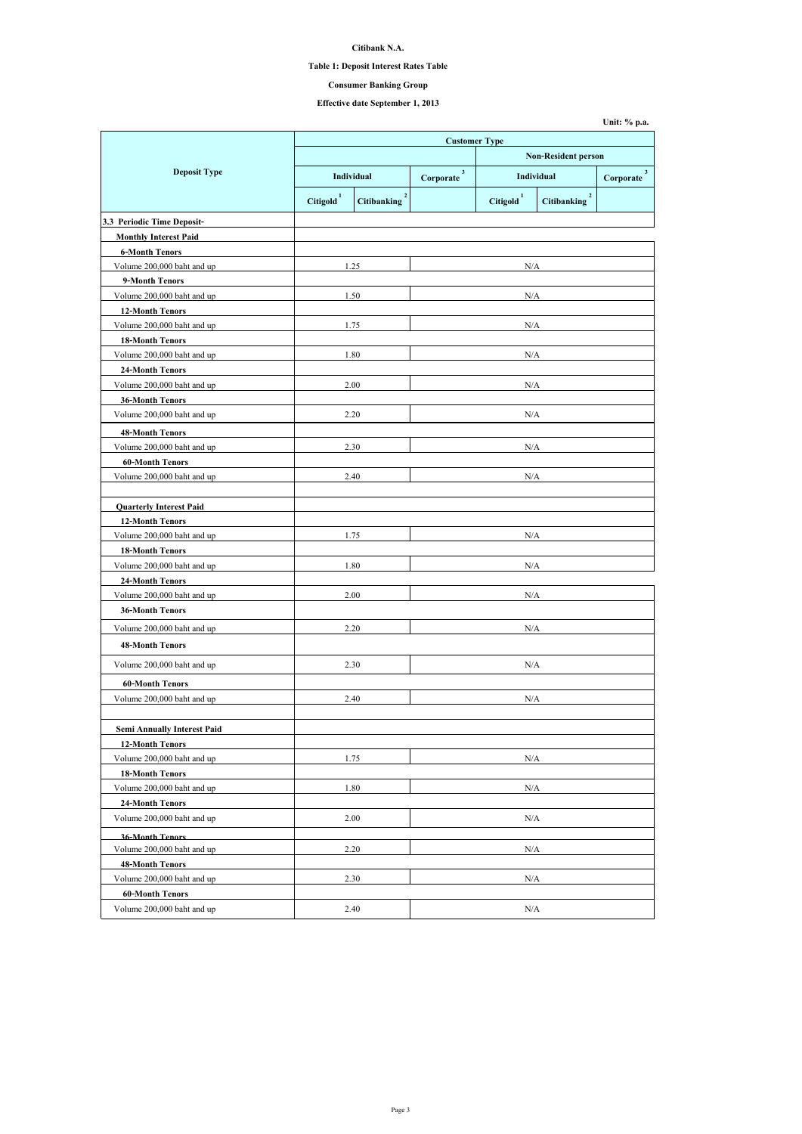## **Table 1: Deposit Interest Rates Table**

# **Effective date September 1, 2013**

|                                    | <b>Customer Type</b> |                                      |                            |                                 |                                      |                           |
|------------------------------------|----------------------|--------------------------------------|----------------------------|---------------------------------|--------------------------------------|---------------------------|
|                                    |                      |                                      | <b>Non-Resident person</b> |                                 |                                      |                           |
| <b>Deposit Type</b>                |                      | Individual                           | $\mathbf{3}$<br>Corporate  | <b>Individual</b>               |                                      | $\mathbf{3}$<br>Corporate |
|                                    | <b>Citigold</b>      | $\overline{2}$<br><b>Citibanking</b> |                            | $\mathbf{1}$<br><b>Citigold</b> | $\overline{2}$<br><b>Citibanking</b> |                           |
| 3.3 Periodic Time Deposit-         |                      |                                      |                            |                                 |                                      |                           |
| <b>Monthly Interest Paid</b>       |                      |                                      |                            |                                 |                                      |                           |
| <b>6-Month Tenors</b>              |                      |                                      |                            |                                 |                                      |                           |
| Volume 200,000 baht and up         |                      | 1.25                                 |                            | N/A                             |                                      |                           |
| 9-Month Tenors                     |                      |                                      |                            |                                 |                                      |                           |
| Volume 200,000 baht and up         |                      | 1.50                                 |                            | N/A                             |                                      |                           |
| <b>12-Month Tenors</b>             |                      |                                      |                            |                                 |                                      |                           |
| Volume 200,000 baht and up         | 1.75                 |                                      |                            | N/A                             |                                      |                           |
| <b>18-Month Tenors</b>             |                      |                                      |                            |                                 |                                      |                           |
| Volume 200,000 baht and up         |                      | 1.80                                 |                            | N/A                             |                                      |                           |
| <b>24-Month Tenors</b>             |                      |                                      |                            |                                 |                                      |                           |
| Volume 200,000 baht and up         |                      | 2.00                                 |                            | N/A                             |                                      |                           |
| <b>36-Month Tenors</b>             |                      |                                      |                            |                                 |                                      |                           |
| Volume 200,000 baht and up         |                      | 2.20                                 |                            | N/A                             |                                      |                           |
| <b>48-Month Tenors</b>             |                      |                                      |                            |                                 |                                      |                           |
| Volume 200,000 baht and up         |                      | 2.30                                 |                            | N/A                             |                                      |                           |
| <b>60-Month Tenors</b>             |                      |                                      |                            |                                 |                                      |                           |
| Volume 200,000 baht and up         |                      | 2.40                                 | N/A                        |                                 |                                      |                           |
|                                    |                      |                                      |                            |                                 |                                      |                           |
| <b>Quarterly Interest Paid</b>     |                      |                                      |                            |                                 |                                      |                           |
| <b>12-Month Tenors</b>             |                      |                                      |                            |                                 |                                      |                           |
| Volume 200,000 baht and up         |                      | 1.75                                 |                            | N/A                             |                                      |                           |
| <b>18-Month Tenors</b>             |                      |                                      |                            |                                 |                                      |                           |
| Volume 200,000 baht and up         |                      | 1.80                                 |                            | N/A                             |                                      |                           |
| <b>24-Month Tenors</b>             |                      |                                      |                            |                                 |                                      |                           |
| Volume 200,000 baht and up         |                      | 2.00                                 | N/A                        |                                 |                                      |                           |
| <b>36-Month Tenors</b>             |                      |                                      |                            |                                 |                                      |                           |
| Volume 200,000 baht and up         |                      | 2.20                                 |                            | N/A                             |                                      |                           |
| <b>48-Month Tenors</b>             |                      |                                      |                            |                                 |                                      |                           |
|                                    |                      |                                      |                            |                                 |                                      |                           |
| Volume 200,000 baht and up         |                      | 2.30                                 |                            | N/A                             |                                      |                           |
| <b>60-Month Tenors</b>             |                      |                                      |                            |                                 |                                      |                           |
| Volume 200,000 baht and up         | 2.40                 |                                      | N/A                        |                                 |                                      |                           |
|                                    |                      |                                      |                            |                                 |                                      |                           |
| <b>Semi Annually Interest Paid</b> |                      |                                      |                            |                                 |                                      |                           |
| <b>12-Month Tenors</b>             |                      |                                      |                            |                                 |                                      |                           |
| Volume 200,000 baht and up         |                      | 1.75                                 |                            | N/A                             |                                      |                           |
| <b>18-Month Tenors</b>             |                      |                                      |                            |                                 |                                      |                           |
| Volume 200,000 baht and up         |                      | 1.80                                 | N/A                        |                                 |                                      |                           |
| <b>24-Month Tenors</b>             |                      |                                      |                            |                                 |                                      |                           |
| Volume 200,000 baht and up         |                      | 2.00                                 |                            | N/A                             |                                      |                           |
| <b>36-Month Tenors</b>             |                      |                                      |                            |                                 |                                      |                           |
| Volume 200,000 baht and up         |                      | 2.20                                 |                            | N/A                             |                                      |                           |
| <b>48-Month Tenors</b>             |                      |                                      |                            |                                 |                                      |                           |
| Volume 200,000 baht and up         |                      | 2.30                                 |                            | N/A                             |                                      |                           |
| <b>60-Month Tenors</b>             |                      |                                      |                            |                                 |                                      |                           |
| Volume 200,000 baht and up         | 2.40                 |                                      | N/A                        |                                 |                                      |                           |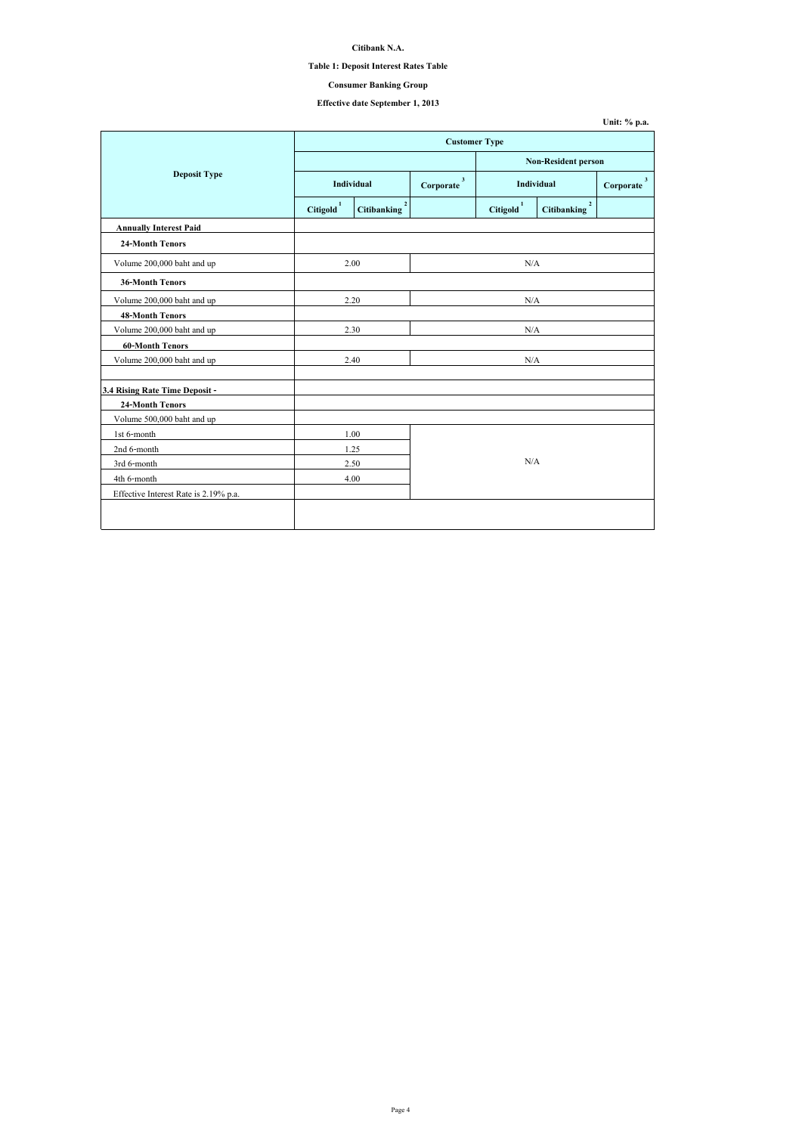| Unit: $\%$ p.a. |  |  |
|-----------------|--|--|
|-----------------|--|--|

## **Table 1: Deposit Interest Rates Table**

# **Effective date September 1, 2013**

|                                       | <b>Customer Type</b>  |                                               |                           |                       |                                      |  |
|---------------------------------------|-----------------------|-----------------------------------------------|---------------------------|-----------------------|--------------------------------------|--|
|                                       |                       |                                               |                           |                       | <b>Non-Resident person</b>           |  |
| <b>Deposit Type</b>                   | Individual            |                                               | $\mathbf{3}$<br>Corporate |                       | Individual<br>Corporate              |  |
|                                       | Citigold <sup>1</sup> | $\overline{\mathbf{c}}$<br><b>Citibanking</b> |                           | Citigold <sup>1</sup> | $\overline{2}$<br><b>Citibanking</b> |  |
| <b>Annually Interest Paid</b>         |                       |                                               |                           |                       |                                      |  |
| <b>24-Month Tenors</b>                |                       |                                               |                           |                       |                                      |  |
| Volume 200,000 baht and up            | 2.00                  |                                               |                           | N/A                   |                                      |  |
| <b>36-Month Tenors</b>                |                       |                                               |                           |                       |                                      |  |
| Volume 200,000 baht and up            | 2.20                  |                                               |                           | N/A                   |                                      |  |
| <b>48-Month Tenors</b>                |                       |                                               |                           |                       |                                      |  |
| Volume 200,000 baht and up            | 2.30                  |                                               | N/A                       |                       |                                      |  |
| <b>60-Month Tenors</b>                |                       |                                               |                           |                       |                                      |  |
| Volume 200,000 baht and up            | 2.40                  |                                               |                           | N/A                   |                                      |  |
|                                       |                       |                                               |                           |                       |                                      |  |
| 3.4 Rising Rate Time Deposit -        |                       |                                               |                           |                       |                                      |  |
| <b>24-Month Tenors</b>                |                       |                                               |                           |                       |                                      |  |
| Volume 500,000 baht and up            |                       |                                               |                           |                       |                                      |  |
| 1st 6-month                           | 1.00                  |                                               |                           |                       |                                      |  |
| 2nd 6-month                           | 1.25                  |                                               |                           |                       |                                      |  |
| 3rd 6-month                           |                       | 2.50                                          |                           | N/A                   |                                      |  |
| 4th 6-month                           |                       | 4.00                                          |                           |                       |                                      |  |
| Effective Interest Rate is 2.19% p.a. |                       |                                               |                           |                       |                                      |  |
|                                       |                       |                                               |                           |                       |                                      |  |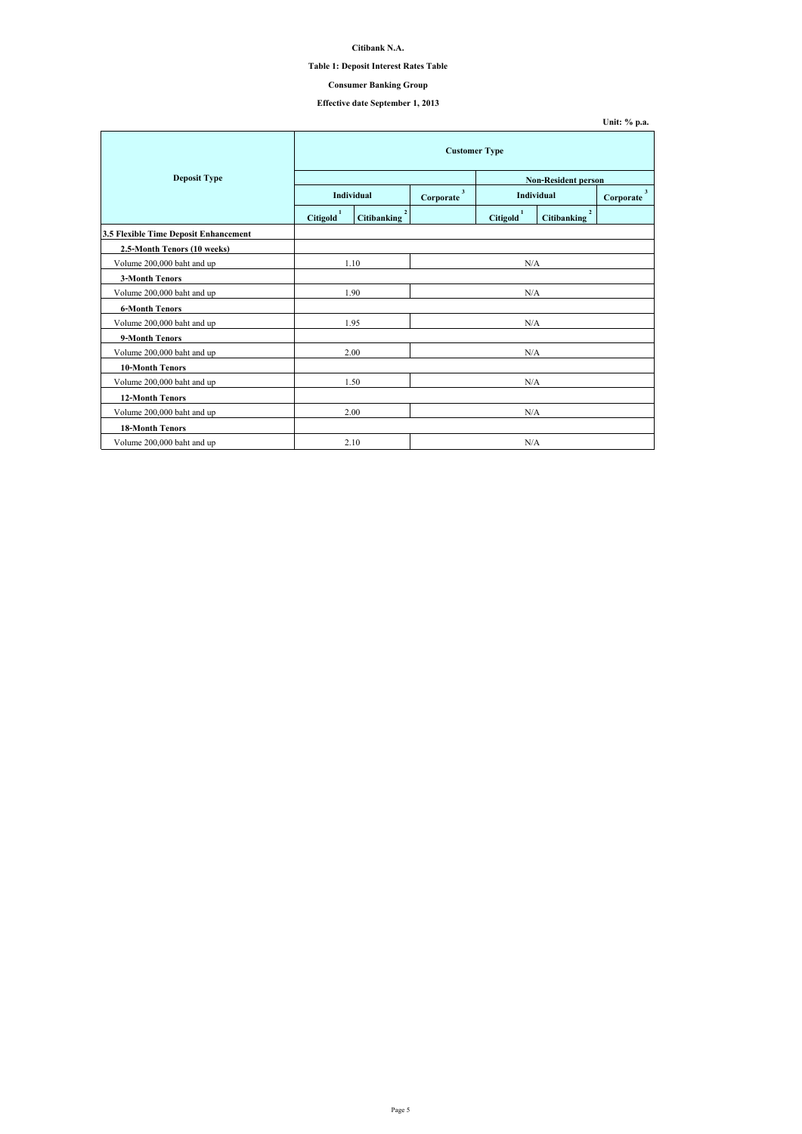## **Table 1: Deposit Interest Rates Table**

# **Effective date September 1, 2013**

|                                              | <b>Customer Type</b>  |                                   |           |                       |                                      |                             |  |
|----------------------------------------------|-----------------------|-----------------------------------|-----------|-----------------------|--------------------------------------|-----------------------------|--|
| <b>Deposit Type</b>                          |                       |                                   |           |                       | <b>Non-Resident person</b>           |                             |  |
|                                              |                       | <b>Individual</b>                 |           | Individual            |                                      | 3 <sup>7</sup><br>Corporate |  |
|                                              | Citigold <sup>1</sup> | $2^{\circ}$<br><b>Citibanking</b> |           | Citigold <sup>1</sup> | $\overline{2}$<br><b>Citibanking</b> |                             |  |
| <b>3.5 Flexible Time Deposit Enhancement</b> |                       |                                   |           |                       |                                      |                             |  |
| 2.5-Month Tenors (10 weeks)                  |                       |                                   |           |                       |                                      |                             |  |
| Volume 200,000 baht and up                   | 1.10                  |                                   | N/A       |                       |                                      |                             |  |
| <b>3-Month Tenors</b>                        |                       |                                   |           |                       |                                      |                             |  |
| Volume 200,000 baht and up                   | 1.90                  |                                   | $\rm N/A$ |                       |                                      |                             |  |
| <b>6-Month Tenors</b>                        |                       |                                   |           |                       |                                      |                             |  |
| Volume 200,000 baht and up                   | 1.95                  |                                   | N/A       |                       |                                      |                             |  |
| 9-Month Tenors                               |                       |                                   |           |                       |                                      |                             |  |
| Volume 200,000 baht and up                   |                       | 2.00                              | N/A       |                       |                                      |                             |  |
| <b>10-Month Tenors</b>                       |                       |                                   |           |                       |                                      |                             |  |
| Volume 200,000 baht and up                   | 1.50                  |                                   | N/A       |                       |                                      |                             |  |
| <b>12-Month Tenors</b>                       |                       |                                   |           |                       |                                      |                             |  |
| Volume 200,000 baht and up                   | 2.00                  |                                   | N/A       |                       |                                      |                             |  |
| <b>18-Month Tenors</b>                       |                       |                                   |           |                       |                                      |                             |  |
| Volume 200,000 baht and up                   |                       | 2.10                              |           | N/A                   |                                      |                             |  |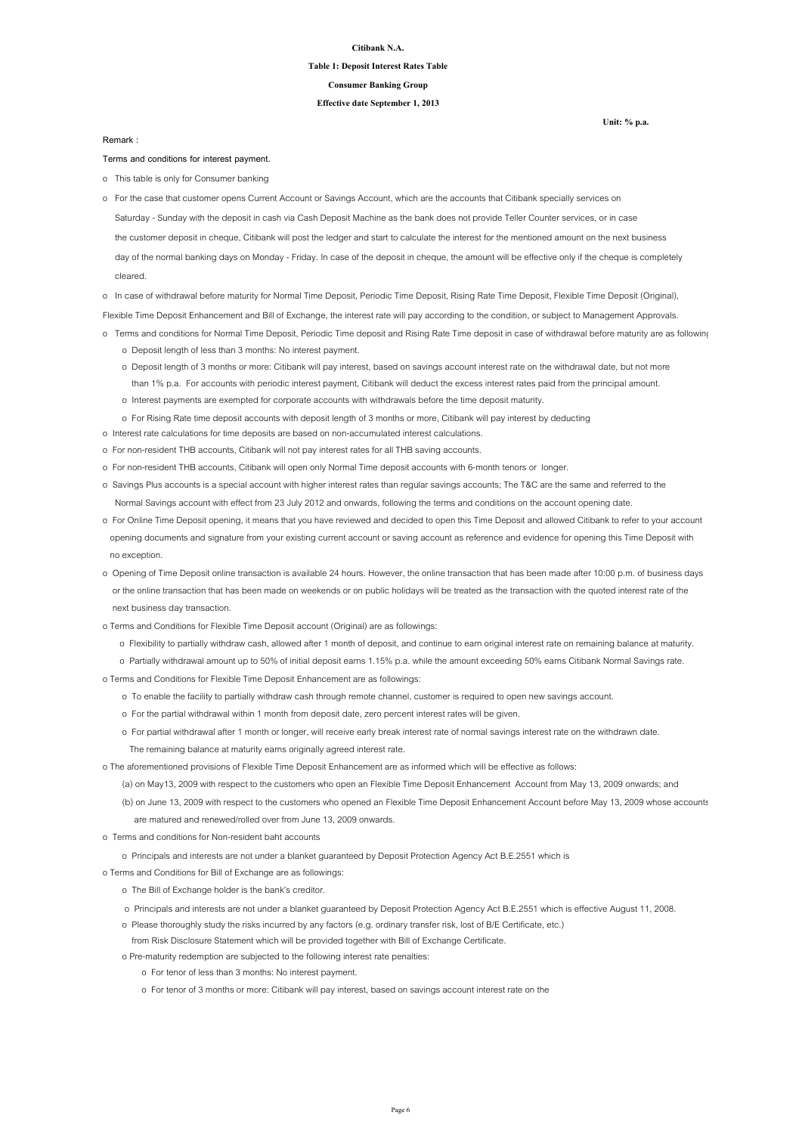**Unit: % p.a.**

#### **Citibank N.A.**

#### **Table 1: Deposit Interest Rates Table**

**Effective date September 1, 2013**

**Consumer Banking Group**

**Terms and conditions for interest payment.**

o This table is only for Consumer banking

o In case of withdrawal before maturity for Normal Time Deposit, Periodic Time Deposit, Rising Rate Time Deposit, Flexible Time Deposit (Original),

Flexible Time Deposit Enhancement and Bill of Exchange, the interest rate will pay according to the condition, or subject to Management Approvals.

- o Terms and conditions for Normal Time Deposit, Periodic Time deposit and Rising Rate Time deposit in case of withdrawal before maturity are as following
	- o Deposit length of less than 3 months: No interest payment.
	- o Deposit length of 3 months or more: Citibank will pay interest, based on savings account interest rate on the withdrawal date, but not more than 1% p.a. For accounts with periodic interest payment, Citibank will deduct the excess interest rates paid from the principal amount.
	- o Interest payments are exempted for corporate accounts with withdrawals before the time deposit maturity.
	- o For Rising Rate time deposit accounts with deposit length of 3 months or more, Citibank will pay interest by deducting
- o Interest rate calculations for time deposits are based on non-accumulated interest calculations.
- o For non-resident THB accounts, Citibank will not pay interest rates for all THB saving accounts.
- o For non-resident THB accounts, Citibank will open only Normal Time deposit accounts with 6-month tenors or longer.
- o Savings Plus accounts is a special account with higher interest rates than regular savings accounts; The T&C are the same and referred to the Normal Savings account with effect from 23 July 2012 and onwards, following the terms and conditions on the account opening date.
- o For Online Time Deposit opening, it means that you have reviewed and decided to open this Time Deposit and allowed Citibank to refer to your account opening documents and signature from your existing current account or saving account as reference and evidence for opening this Time Deposit with no exception.
- o Opening of Time Deposit online transaction is available 24 hours. However, the online transaction that has been made after 10:00 p.m. of business days or the online transaction that has been made on weekends or on public holidays will be treated as the transaction with the quoted interest rate of the

 Saturday - Sunday with the deposit in cash via Cash Deposit Machine as the bank does not provide Teller Counter services, or in case the customer deposit in cheque, Citibank will post the ledger and start to calculate the interest for the mentioned amount on the next business day of the normal banking days on Monday - Friday. In case of the deposit in cheque, the amount will be effective only if the cheque is completely cleared. o For the case that customer opens Current Account or Savings Account, which are the accounts that Citibank specially services on

next business day transaction.

- o Terms and Conditions for Flexible Time Deposit account (Original) are as followings:
	- o Flexibility to partially withdraw cash, allowed after 1 month of deposit, and continue to earn original interest rate on remaining balance at maturity.
	- o Partially withdrawal amount up to 50% of initial deposit earns 1.15% p.a. while the amount exceeding 50% earns Citibank Normal Savings rate.
- o Terms and Conditions for Flexible Time Deposit Enhancement are as followings:
	- o To enable the facility to partially withdraw cash through remote channel, customer is required to open new savings account.
	- o For the partial withdrawal within 1 month from deposit date, zero percent interest rates will be given.
	- o For partial withdrawal after 1 month or longer, will receive early break interest rate of normal savings interest rate on the withdrawn date.
		- The remaining balance at maturity earns originally agreed interest rate.
- o The aforementioned provisions of Flexible Time Deposit Enhancement are as informed which will be effective as follows:
	- (a) on May13, 2009 with respect to the customers who open an Flexible Time Deposit Enhancement Account from May 13, 2009 onwards; and
	- (b) on June 13, 2009 with respect to the customers who opened an Flexible Time Deposit Enhancement Account before May 13, 2009 whose accounts are matured and renewed/rolled over from June 13, 2009 onwards.
- o Terms and conditions for Non-resident baht accounts
	- o Principals and interests are not under a blanket guaranteed by Deposit Protection Agency Act B.E.2551 which is
- o Terms and Conditions for Bill of Exchange are as followings:
	- o The Bill of Exchange holder is the bank's creditor.
	- o Principals and interests are not under a blanket guaranteed by Deposit Protection Agency Act B.E.2551 which is effective August 11, 2008.
	- o Please thoroughly study the risks incurred by any factors (e.g. ordinary transfer risk, lost of B/E Certificate, etc.)
	- from Risk Disclosure Statement which will be provided together with Bill of Exchange Certificate.
	- o Pre-maturity redemption are subjected to the following interest rate penalties:
		- o For tenor of less than 3 months: No interest payment.
		- o For tenor of 3 months or more: Citibank will pay interest, based on savings account interest rate on the

**Remark :**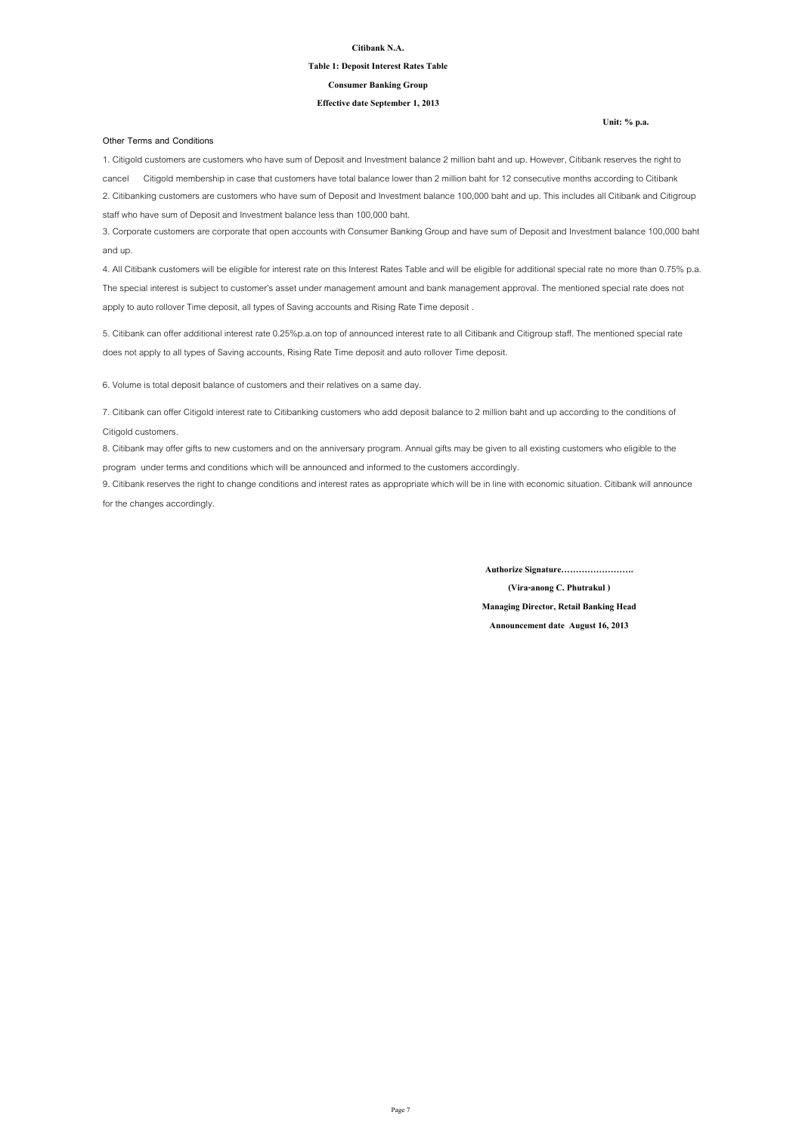**Unit: % p.a.**

#### **Citibank N.A.**

#### **Table 1: Deposit Interest Rates Table**

#### **Effective date September 1, 2013**

#### **Consumer Banking Group**

#### **Other Terms and Conditions**

8. Citibank may offer gifts to new customers and on the anniversary program. Annual gifts may be given to all existing customers who eligible to the program under terms and conditions which will be announced and informed to the customers accordingly.

9. Citibank reserves the right to change conditions and interest rates as appropriate which will be in line with economic situation. Citibank will announce for the changes accordingly.

1. Citigold customers are customers who have sum of Deposit and Investment balance 2 million baht and up. However, Citibank reserves the right to cancel Citigold membership in case that customers have total balance lower than 2 million baht for 12 consecutive months according to Citibank 2. Citibanking customers are customers who have sum of Deposit and Investment balance 100,000 baht and up. This includes all Citibank and Citigroup staff who have sum of Deposit and Investment balance less than 100,000 baht.

3. Corporate customers are corporate that open accounts with Consumer Banking Group and have sum of Deposit and Investment balance 100,000 baht and up.

4. All Citibank customers will be eligible for interest rate on this Interest Rates Table and will be eligible for additional special rate no more than 0.75% p.a. The special interest is subject to customer's asset under management amount and bank management approval. The mentioned special rate does not apply to auto rollover Time deposit, all types of Saving accounts and Rising Rate Time deposit .

5. Citibank can offer additional interest rate 0.25%p.a.on top of announced interest rate to all Citibank and Citigroup staff. The mentioned special rate does not apply to all types of Saving accounts, Rising Rate Time deposit and auto rollover Time deposit.

7. Citibank can offer Citigold interest rate to Citibanking customers who add deposit balance to 2 million baht and up according to the conditions of Citigold customers.

6. Volume is total deposit balance of customers and their relatives on a same day.

**Authorize Signature…………………….**

**(Vira-anong C. Phutrakul )**

**Managing Director, Retail Banking Head**

**Announcement date August 16, 2013**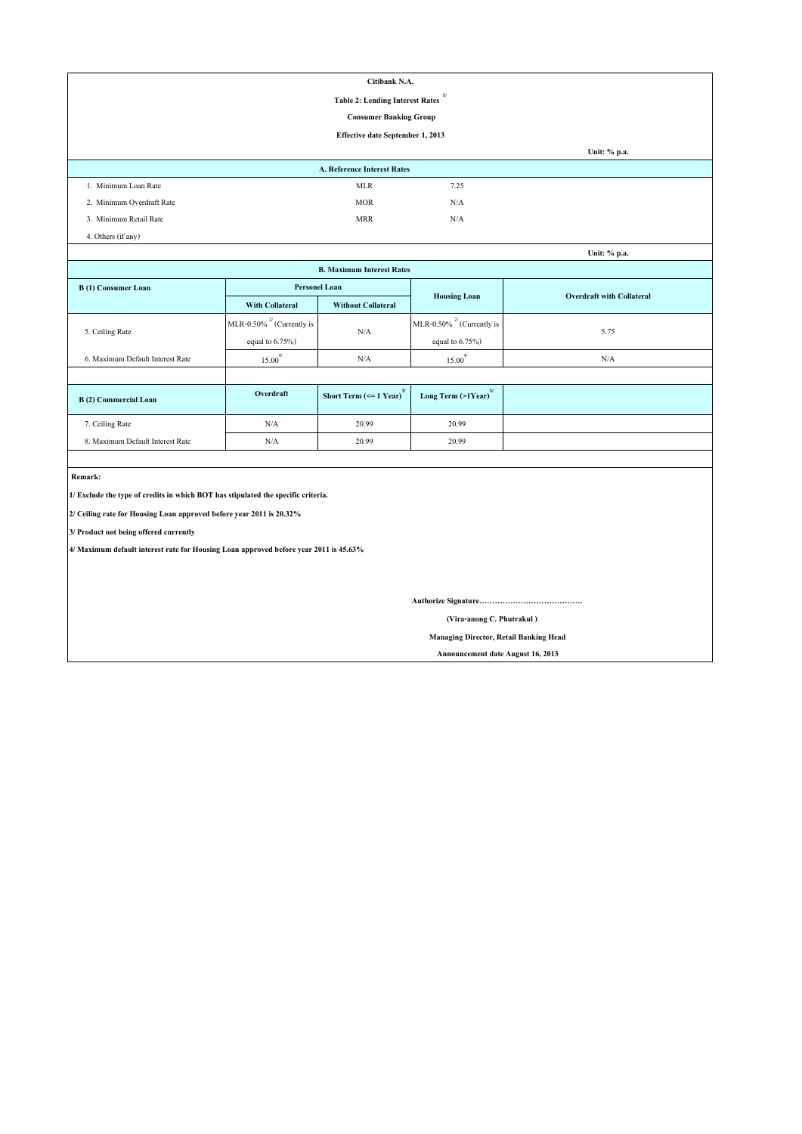|                                                                                       |                                 | Citibank N.A.                                               |                                     |                                  |  |  |
|---------------------------------------------------------------------------------------|---------------------------------|-------------------------------------------------------------|-------------------------------------|----------------------------------|--|--|
|                                                                                       |                                 | <b>Table 2: Lending Interest Rates</b>                      | 1/                                  |                                  |  |  |
|                                                                                       |                                 | <b>Consumer Banking Group</b>                               |                                     |                                  |  |  |
|                                                                                       |                                 | <b>Effective date September 1, 2013</b>                     |                                     |                                  |  |  |
|                                                                                       |                                 |                                                             |                                     | Unit: % p.a.                     |  |  |
|                                                                                       |                                 | <b>A. Reference Interest Rates</b>                          |                                     |                                  |  |  |
| 1. Minimum Loan Rate                                                                  |                                 | <b>MLR</b>                                                  | 7.25                                |                                  |  |  |
| 2. Minimum Overdraft Rate                                                             |                                 | <b>MOR</b>                                                  | N/A                                 |                                  |  |  |
| 3. Minimum Retail Rate                                                                |                                 | <b>MRR</b>                                                  | N/A                                 |                                  |  |  |
| 4. Others (if any)                                                                    |                                 |                                                             |                                     |                                  |  |  |
|                                                                                       |                                 |                                                             |                                     | Unit: % p.a.                     |  |  |
|                                                                                       |                                 | <b>B. Maximum Interest Rates</b>                            |                                     |                                  |  |  |
| <b>B</b> (1) Consumer Loan                                                            | <b>Personel Loan</b>            |                                                             |                                     | <b>Overdraft with Collateral</b> |  |  |
|                                                                                       | <b>With Collateral</b>          | <b>Without Collateral</b>                                   | <b>Housing Loan</b>                 |                                  |  |  |
|                                                                                       | MLR-0.50% $^{27}$ (Currently is |                                                             | MLR-0.50% $^{27}$ (Currently is     |                                  |  |  |
| 5. Ceiling Rate                                                                       | equal to $6.75\%$ )             | N/A                                                         | equal to $6.75\%$ )                 | 5.75                             |  |  |
| 6. Maximum Default Interest Rate                                                      | $15.00^{4/}$                    | N/A                                                         | $15.00^{4/}$                        | N/A                              |  |  |
|                                                                                       |                                 |                                                             |                                     |                                  |  |  |
| <b>B</b> (2) Commercial Loan                                                          | Overdraft                       | <b>Short Term (<math>\le</math> = 1 Year)</b> <sup>3/</sup> | Long Term $(>1$ Year) <sup>3/</sup> |                                  |  |  |
| 7. Ceiling Rate                                                                       | $\rm N/A$                       | 20.99                                                       | 20.99                               |                                  |  |  |
| 8. Maximum Default Interest Rate                                                      | $\rm N/A$                       | 20.99                                                       | 20.99                               |                                  |  |  |
|                                                                                       |                                 |                                                             |                                     |                                  |  |  |
| Remark:                                                                               |                                 |                                                             |                                     |                                  |  |  |
| 1/ Exclude the type of credits in which BOT has stipulated the specific criteria.     |                                 |                                                             |                                     |                                  |  |  |
| 2/ Ceiling rate for Housing Loan approved before year 2011 is 20.32%                  |                                 |                                                             |                                     |                                  |  |  |
| 3/ Product not being offered currently                                                |                                 |                                                             |                                     |                                  |  |  |
| 4/ Maximum default interest rate for Housing Loan approved before year 2011 is 45.63% |                                 |                                                             |                                     |                                  |  |  |
|                                                                                       |                                 |                                                             |                                     |                                  |  |  |
|                                                                                       |                                 |                                                             |                                     |                                  |  |  |
|                                                                                       |                                 |                                                             |                                     |                                  |  |  |
| (Vira-anong C. Phutrakul)                                                             |                                 |                                                             |                                     |                                  |  |  |
| <b>Managing Director, Retail Banking Head</b>                                         |                                 |                                                             |                                     |                                  |  |  |

 **Announcement date August 16, 2013**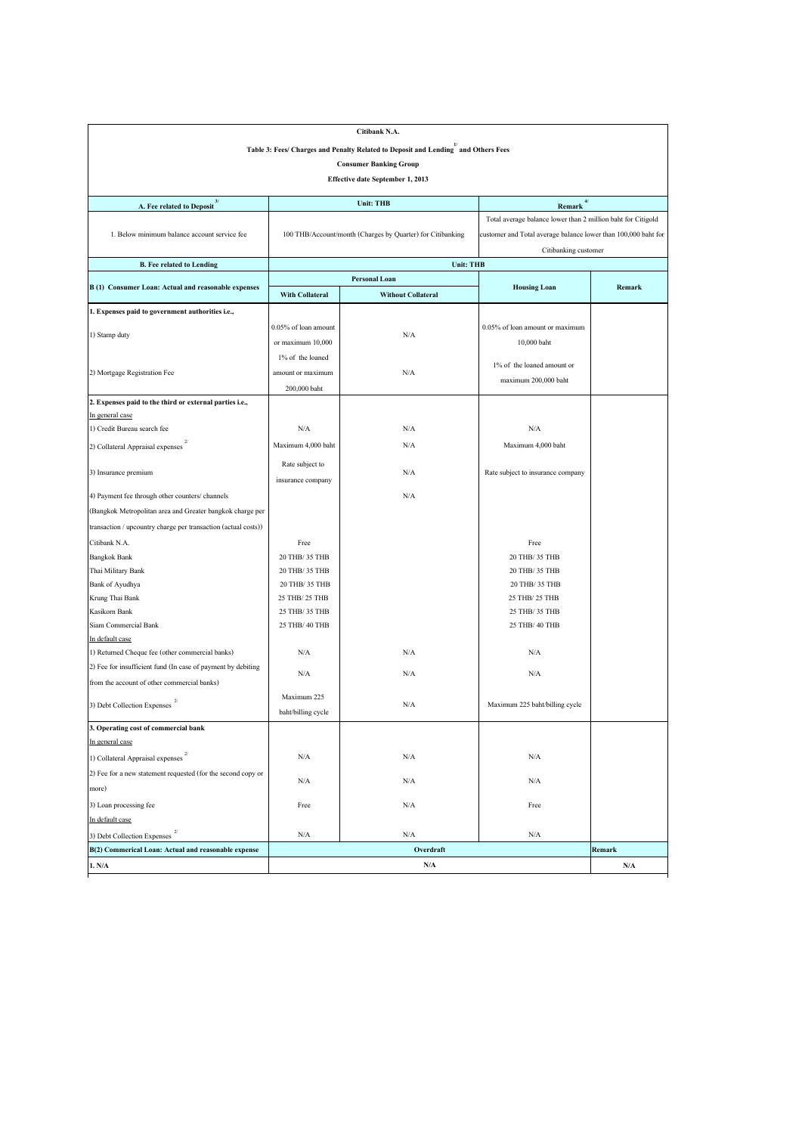|                                                                                                | Citibank N.A.                        |                                                            |                                                                |               |  |  |  |  |  |
|------------------------------------------------------------------------------------------------|--------------------------------------|------------------------------------------------------------|----------------------------------------------------------------|---------------|--|--|--|--|--|
| Table 3: Fees/ Charges and Penalty Related to Deposit and Lending <sup>1</sup> and Others Fees |                                      |                                                            |                                                                |               |  |  |  |  |  |
|                                                                                                | <b>Consumer Banking Group</b>        |                                                            |                                                                |               |  |  |  |  |  |
|                                                                                                |                                      | <b>Effective date September 1, 2013</b>                    |                                                                |               |  |  |  |  |  |
|                                                                                                |                                      |                                                            |                                                                |               |  |  |  |  |  |
| A. Fee related to Deposit <sup>3/</sup>                                                        |                                      | <b>Unit: THB</b>                                           | Remark $4/$                                                    |               |  |  |  |  |  |
|                                                                                                |                                      |                                                            | Total average balance lower than 2 million baht for Citigold   |               |  |  |  |  |  |
| 1. Below minimum balance account service fee                                                   |                                      | 100 THB/Account/month (Charges by Quarter) for Citibanking | customer and Total average balance lower than 100,000 baht for |               |  |  |  |  |  |
|                                                                                                |                                      |                                                            | Citibanking customer                                           |               |  |  |  |  |  |
| <b>B. Fee related to Lending</b>                                                               |                                      | <b>Unit: THB</b>                                           |                                                                |               |  |  |  |  |  |
| B (1) Consumer Loan: Actual and reasonable expenses                                            |                                      | <b>Personal Loan</b>                                       | <b>Housing Loan</b>                                            | <b>Remark</b> |  |  |  |  |  |
|                                                                                                | <b>With Collateral</b>               | <b>Without Collateral</b>                                  |                                                                |               |  |  |  |  |  |
| 1. Expenses paid to government authorities i.e.,                                               |                                      |                                                            |                                                                |               |  |  |  |  |  |
| 1) Stamp duty                                                                                  | 0.05% of loan amount                 | N/A                                                        | $0.05\%$ of loan amount or maximum                             |               |  |  |  |  |  |
|                                                                                                | or maximum $10,000$                  |                                                            | 10,000 baht                                                    |               |  |  |  |  |  |
|                                                                                                | 1% of the loaned                     |                                                            |                                                                |               |  |  |  |  |  |
| 2) Mortgage Registration Fee                                                                   | amount or maximum                    | N/A                                                        | 1% of the loaned amount or                                     |               |  |  |  |  |  |
|                                                                                                | 200,000 baht                         |                                                            | maximum 200,000 baht                                           |               |  |  |  |  |  |
| 2. Expenses paid to the third or external parties i.e.,                                        |                                      |                                                            |                                                                |               |  |  |  |  |  |
| In general case                                                                                |                                      |                                                            |                                                                |               |  |  |  |  |  |
| 1) Credit Bureau search fee                                                                    | N/A                                  | N/A                                                        | N/A                                                            |               |  |  |  |  |  |
| 2/<br>2) Collateral Appraisal expenses                                                         | Maximum 4,000 baht                   | N/A                                                        | Maximum 4,000 baht                                             |               |  |  |  |  |  |
| 3) Insurance premium                                                                           | Rate subject to<br>insurance company | N/A                                                        | Rate subject to insurance company                              |               |  |  |  |  |  |
|                                                                                                |                                      | N/A                                                        |                                                                |               |  |  |  |  |  |
| 4) Payment fee through other counters/channels                                                 |                                      |                                                            |                                                                |               |  |  |  |  |  |
| (Bangkok Metropolitan area and Greater bangkok charge per                                      |                                      |                                                            |                                                                |               |  |  |  |  |  |
| transaction / upcountry charge per transaction (actual costs))                                 |                                      |                                                            |                                                                |               |  |  |  |  |  |
| Citibank N.A.                                                                                  | Free                                 |                                                            | Free                                                           |               |  |  |  |  |  |
| <b>Bangkok Bank</b>                                                                            | 20 THB/ 35 THB                       |                                                            | 20 THB/ 35 THB                                                 |               |  |  |  |  |  |
| Thai Military Bank                                                                             | 20 THB/ 35 THB                       |                                                            | 20 THB/ 35 THB                                                 |               |  |  |  |  |  |
| <b>Bank of Ayudhya</b>                                                                         | 20 THB/ 35 THB                       |                                                            | 20 THB/ 35 THB                                                 |               |  |  |  |  |  |
| Krung Thai Bank                                                                                | 25 THB/ 25 THB                       |                                                            | 25 THB/ 25 THB                                                 |               |  |  |  |  |  |
| Kasikorn Bank                                                                                  | 25 THB/ 35 THB                       |                                                            | 25 THB/ 35 THB                                                 |               |  |  |  |  |  |
| Siam Commercial Bank                                                                           | 25 THB/ 40 THB                       |                                                            | 25 THB/ 40 THB                                                 |               |  |  |  |  |  |
| In default case                                                                                |                                      |                                                            |                                                                |               |  |  |  |  |  |
| 1) Returned Cheque fee (other commercial banks)                                                | N/A                                  | N/A                                                        | $\rm N/A$                                                      |               |  |  |  |  |  |
| (2) Fee for insufficient fund (In case of payment by debiting                                  | N/A                                  | N/A                                                        | N/A                                                            |               |  |  |  |  |  |
| from the account of other commercial banks)                                                    |                                      |                                                            |                                                                |               |  |  |  |  |  |
| 2/<br>3) Debt Collection Expenses                                                              | Maximum 225                          | N/A                                                        | Maximum 225 baht/billing cycle                                 |               |  |  |  |  |  |
|                                                                                                | baht/billing cycle                   |                                                            |                                                                |               |  |  |  |  |  |
| 3. Operating cost of commercial bank                                                           |                                      |                                                            |                                                                |               |  |  |  |  |  |
| In general case                                                                                |                                      |                                                            |                                                                |               |  |  |  |  |  |
| 1) Collateral Appraisal expenses                                                               | N/A                                  | N/A                                                        | $\rm N/A$                                                      |               |  |  |  |  |  |
| (2) Fee for a new statement requested (for the second copy or                                  |                                      |                                                            |                                                                |               |  |  |  |  |  |
| more)                                                                                          | N/A                                  | N/A                                                        | N/A                                                            |               |  |  |  |  |  |
| 3) Loan processing fee                                                                         | Free                                 | N/A                                                        | Free                                                           |               |  |  |  |  |  |
| In default case                                                                                |                                      |                                                            |                                                                |               |  |  |  |  |  |
| 3) Debt Collection Expenses                                                                    | N/A                                  | N/A                                                        | N/A                                                            |               |  |  |  |  |  |
| B(2) Commerical Loan: Actual and reasonable expense                                            |                                      | Overdraft                                                  |                                                                | Remark        |  |  |  |  |  |
| 1. N/A                                                                                         |                                      | N/A                                                        |                                                                | N/A           |  |  |  |  |  |
|                                                                                                |                                      |                                                            |                                                                |               |  |  |  |  |  |